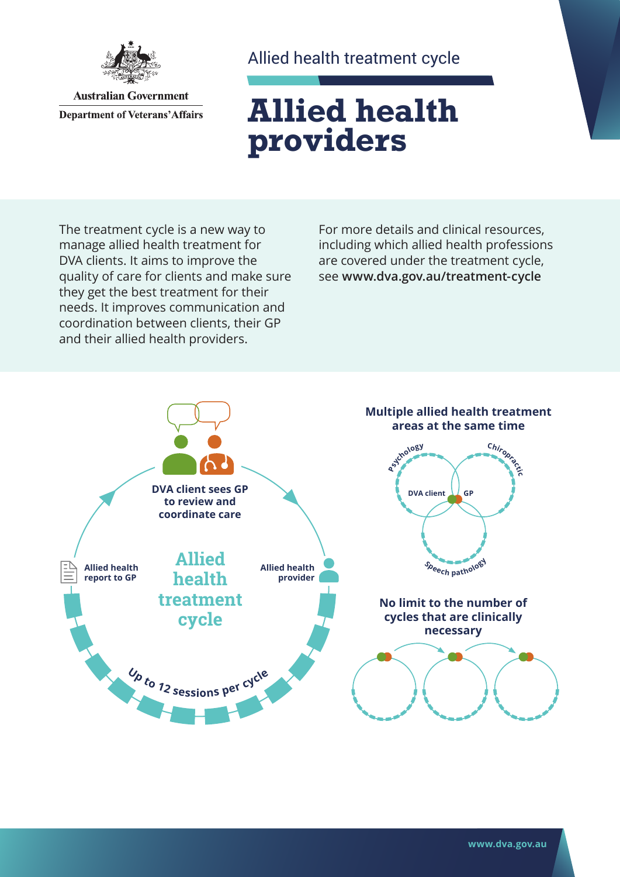

**Australian Government Department of Veterans' Affairs** 

## Allied health treatment cycle

# **Allied health providers**

The treatment cycle is a new way to manage allied health treatment for DVA clients. It aims to improve the quality of care for clients and make sure they get the best treatment for their needs. It improves communication and coordination between clients, their GP and their allied health providers.

For more details and clinical resources, including which allied health professions are covered under the treatment cycle, see **[www.dva.gov.au](http://www.dva.gov.au/treatment-cycle)/treatment-cycle**